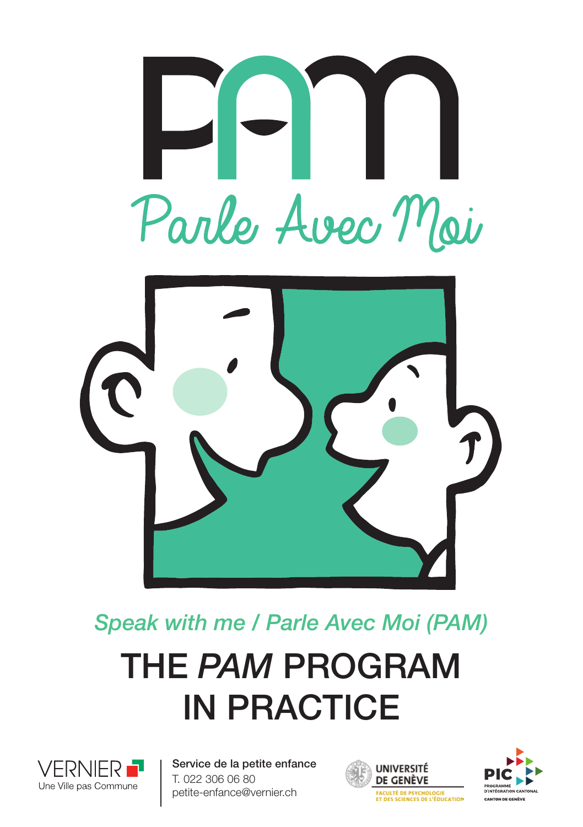



# THE *PAM* PROGRAM IN PRACTICE *Speak with me / Parle Avec Moi (PAM)*



Service de la petite enfance T. 022 306 06 80 petite-enfance@vernier.ch



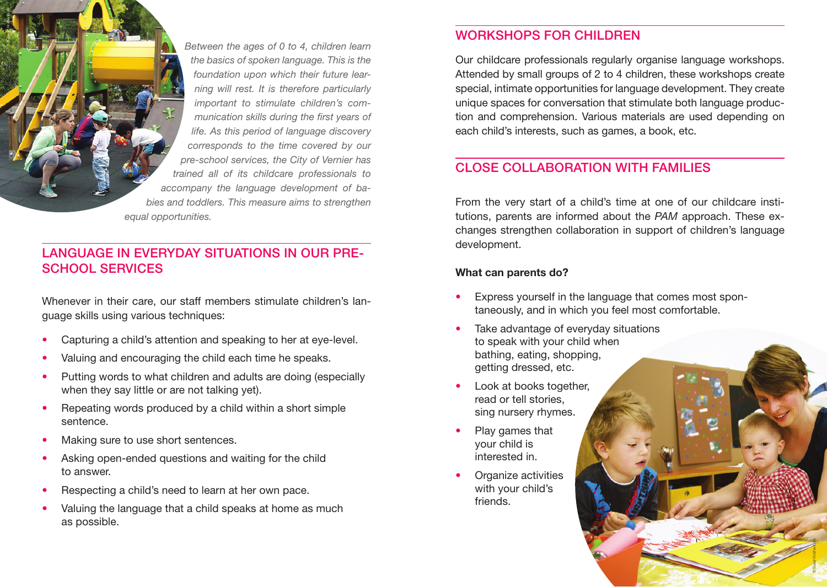*Between the ages of 0 to 4, children learn the basics of spoken language. This is the foundation upon which their future learning will rest. It is therefore particularly important to stimulate children's communication skills during the first years of life. As this period of language discovery corresponds to the time covered by our pre-school services, the City of Vernier has trained all of its childcare professionals to accompany the language development of babies and toddlers. This measure aims to strengthen equal opportunities.* 

### LANGUAGE IN EVERYDAY SITUATIONS IN OUR PRE-SCHOOL SERVICES

Whenever in their care, our staff members stimulate children's language skills using various techniques:

- Capturing a child's attention and speaking to her at eye-level.
- Valuing and encouraging the child each time he speaks.
- Putting words to what children and adults are doing (especially when they say little or are not talking yet).
- Repeating words produced by a child within a short simple sentence.
- Making sure to use short sentences.

© Sarah Krähenbühl

- Asking open-ended questions and waiting for the child to answer.
- Respecting a child's need to learn at her own pace.
- Valuing the language that a child speaks at home as much as possible.

## WORKSHOPS FOR CHILDREN

Our childcare professionals regularly organise language workshops. Attended by small groups of 2 to 4 children, these workshops create special, intimate opportunities for language development. They create unique spaces for conversation that stimulate both language production and comprehension. Various materials are used depending on each child's interests, such as games, a book, etc.

# CLOSE COLLABORATION WITH FAMILIES

From the very start of a child's time at one of our childcare institutions, parents are informed about the *PAM* approach. These exchanges strengthen collaboration in support of children's language development.

© Sarah Krähenbühl

#### What can parents do?

- Express yourself in the language that comes most spontaneously, and in which you feel most comfortable.
- Take advantage of everyday situations to speak with your child when bathing, eating, shopping, getting dressed, etc.
- Look at books together, read or tell stories, sing nursery rhymes.
- Play games that your child is interested in.
- Organize activities with your child's friends.